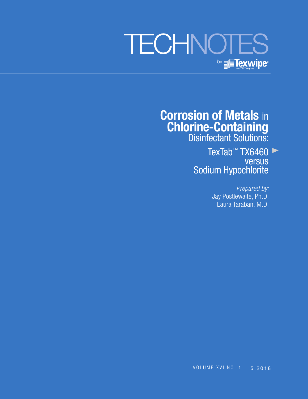# **TECHNOTES** by **Texwipe**

**Corrosion of Metals** in **Chlorine-Containing** Disinfectant Solutions:

> TexTab™ TX6460 versus Sodium Hypochlorite

> > *Prepared by:* Jay Postlewaite, Ph.D. Laura Taraban, M.D.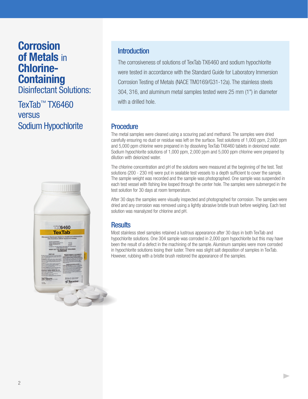# **Corrosion of Metals** in **Chlorine-Containing**

Disinfectant Solutions:

TexTab™ TX6460 versus Sodium Hypochlorite



### Introduction

The corrosiveness of solutions of TexTab TX6460 and sodium hypochlorite were tested in accordance with the Standard Guide for Laboratory Immersion Corrosion Testing of Metals (NACE TM0169/G31-12a). The stainless steels 304, 316, and aluminum metal samples tested were 25 mm (1") in diameter with a drilled hole.

### **Procedure**

The metal samples were cleaned using a scouring pad and methanol. The samples were dried carefully ensuring no dust or residue was left on the surface. Test solutions of 1,000 ppm, 2,000 ppm and 5,000 ppm chlorine were prepared in by dissolving TexTab TX6460 tablets in deionized water. Sodium hypochlorite solutions of 1,000 ppm, 2,000 ppm and 5,000 ppm chlorine were prepared by dilution with deionized water.

The chlorine concentration and pH of the solutions were measured at the beginning of the test. Test solutions (200 - 230 ml) were put in sealable test vessels to a depth sufficient to cover the sample. The sample weight was recorded and the sample was photographed. One sample was suspended in each test vessel with fishing line looped through the center hole. The samples were submerged in the test solution for 30 days at room temperature.

After 30 days the samples were visually inspected and photographed for corrosion. The samples were dried and any corrosion was removed using a lightly abrasive bristle brush before weighing. Each test solution was reanalyzed for chlorine and pH.

## **Results**

Most stainless steel samples retained a lustrous appearance after 30 days in both TexTab and hypochlorite solutions. One 304 sample was corroded in 2,000 ppm hypochlorite but this may have been the result of a defect in the machining of the sample. Aluminum samples were more corroded in hypochlorite solutions losing their luster. There was slight salt deposition of samples in TexTab. However, rubbing with a bristle brush restored the appearance of the samples.

 $\blacktriangleright$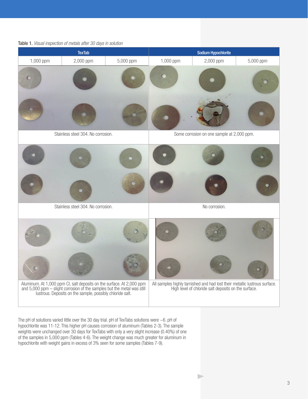#### Table 1. *Visual inspection of metals after 30 days in solution*



The pH of solutions varied little over the 30 day trial. pH of TexTabs solutions were ~6. pH of hypochlorite was 11-12. This higher pH causes corrosion of aluminum (Tables 2-3). The sample weights were unchanged over 30 days for TexTabs with only a very slight increase (0.40%) of one of the samples in 5,000 ppm (Tables 4-6). The weight change was much greater for aluminum in hypochlorite with weight gains in excess of 3% seen for some samples (Tables 7-9).

D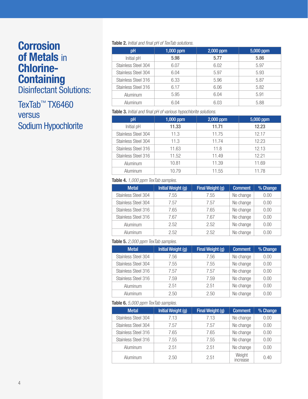# **Corrosion of Metals** in **Chlorine-Containing**

Disinfectant Solutions:

# TexTab™ TX6460 versus Sodium Hypochlorite

#### **Table 2.** *Initial and final pH of TexTab solutions.*

| pH                  | 1,000 ppm | 2,000 ppm | 5,000 ppm |
|---------------------|-----------|-----------|-----------|
| Initial pH          | 5.98      | 5.77      | 5.86      |
| Stainless Steel 304 | 6.07      | 6.02      | 5.97      |
| Stainless Steel 304 | 6.04      | 5.97      | 5.93      |
| Stainless Steel 316 | 6.33      | 5.96      | 5.87      |
| Stainless Steel 316 | 6.17      | 6.06      | 5.82      |
| Aluminum            | 5.95      | 6.04      | 5.91      |
| Aluminum            | 6.04      | 6.03      | 5.88      |

#### **Table 3.** *Initial and final pH of various hypochlorite solutions.*

| pH                  | $1,000$ ppm | 2,000 ppm | 5,000 ppm |
|---------------------|-------------|-----------|-----------|
| Initial pH          | 11.33       | 11.71     | 12.23     |
| Stainless Steel 304 | 11.3        | 11.75     | 12.17     |
| Stainless Steel 304 | 11.3        | 11.74     | 12.23     |
| Stainless Steel 316 | 11.63       | 11.8      | 12.13     |
| Stainless Steel 316 | 11.52       | 11.49     | 12.21     |
| Aluminum            | 10.81       | 11.39     | 11.69     |
| Aluminum            | 10.79       | 11.55     | 11.78     |

#### **Table 4.** *1,000 ppm TexTab samples.*

| <b>Metal</b>        | <b>Initial Weight (g)</b> | Final Weight (g) | <b>Comment</b> |      |
|---------------------|---------------------------|------------------|----------------|------|
| Stainless Steel 304 | 7.55                      | 7.55             | No change      | 0.00 |
| Stainless Steel 304 | 7.57                      | 7.57             | No change      | 0.00 |
| Stainless Steel 316 | 7.65                      | 7.65             | No change      | 0.00 |
| Stainless Steel 316 | 7.67                      | 7.67             | No change      | 0.00 |
| <b>Aluminum</b>     | 2.52                      | 2.52             | No change      | 0.00 |
| Aluminum            | 2.52                      | 2.52             | No change      | 0.00 |

#### **Table 5.** *2,000 ppm TexTab samples.*

| <b>Metal</b>        | <b>Initial Weight (g)</b> | Final Weight (g)  | <b>Comment</b> | % Change |
|---------------------|---------------------------|-------------------|----------------|----------|
| Stainless Steel 304 | 7.56                      | 7.56              | No change      | 0.00     |
| Stainless Steel 304 | 7.55                      | No change<br>7.55 |                | 0.00     |
| Stainless Steel 316 | 7.57                      | 7.57              | No change      | 0.00     |
| Stainless Steel 316 | 7.59                      | 7.59              | No change      | 0.00     |
| Aluminum            | 2.51                      | 2.51              | No change      | 0.00     |
| Aluminum            | 2.50                      | 2.50              | No change      | 0.00     |

#### **Table 6.** *5,000 ppm TexTab samples.*

| <b>Metal</b>        | Initial Weight (g) | Final Weight (g) | <b>Comment</b>     | % Change |  |  |  |
|---------------------|--------------------|------------------|--------------------|----------|--|--|--|
| Stainless Steel 304 | 7.13               | 7.13             | No change          | 0.00     |  |  |  |
| Stainless Steel 304 | 7.57               | 7.57             | No change          | 0.00     |  |  |  |
| Stainless Steel 316 | 7.65               | 7.65             | No change          | 0.00     |  |  |  |
| Stainless Steel 316 | 7.55               | 7.55             | No change          | 0.00     |  |  |  |
| Aluminum            | 2.51               | 2.51             | No change          | 0.00     |  |  |  |
| Aluminum            | 2.50               | 2.51             | Weight<br>increase | 0.40     |  |  |  |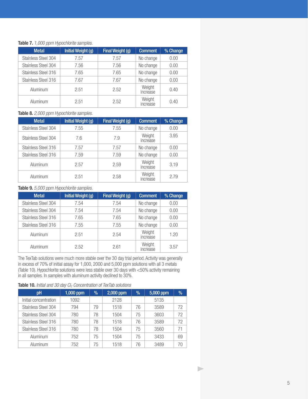#### **Table 7.** *1,000 ppm Hypochlorite samples.*

| <b>Metal</b>        | <b>Initial Weight (g)</b> | <b>Comment</b><br>Final Weight (g) |                    | % Change |
|---------------------|---------------------------|------------------------------------|--------------------|----------|
| Stainless Steel 304 | 7.57                      | 7.57                               | No change          | 0.00     |
| Stainless Steel 304 | 7.56                      | No change<br>7.56                  |                    | 0.00     |
| Stainless Steel 316 | 7.65                      | 7.65                               | No change          | 0.00     |
| Stainless Steel 316 | 7.67                      | 7.67                               | No change          | 0.00     |
| Aluminum            | 2.51                      | 2.52                               | Weight<br>increase | 0.40     |
| Aluminum            | 2.51                      | 2.52                               | Weight<br>increase | 0.40     |

**Table 8.** *2,000 ppm Hypochlorite samples.*

| <b>Metal</b>               | <b>Initial Weight (g)</b> | Final Weight (g)<br><b>Comment</b> |                    | % Change |
|----------------------------|---------------------------|------------------------------------|--------------------|----------|
| Stainless Steel 304        | 7.55                      | 7.55                               | No change          | 0.00     |
| <b>Stainless Steel 304</b> | 7.6                       | Weight<br>7.9<br>increase          |                    | 3.95     |
| Stainless Steel 316        | 7.57                      | 7.57                               | No change          | 0.00     |
| Stainless Steel 316        | 7.59                      | 7.59                               | No change          | 0.00     |
| Aluminum                   | 2.57                      | 2.59                               | Weight<br>increase | 3.19     |
| Aluminum                   | 2.51                      | 2.58                               | Weight<br>increase | 2.79     |

#### **Table 9.** *5,000 ppm Hypochlorite samples.*

| <b>Metal</b>               | <b>Initial Weight (g)</b> | Final Weight (g)  | <b>Comment</b>     | % Change |
|----------------------------|---------------------------|-------------------|--------------------|----------|
| Stainless Steel 304        | 7.54                      | 7.54              | No change          |          |
| <b>Stainless Steel 304</b> | 7.54                      | No change<br>7.54 |                    | 0.00     |
| Stainless Steel 316        | 7.65                      | 7.65              | No change          |          |
| Stainless Steel 316        | 7.55                      | 7.55              | No change          | 0.00     |
| Aluminum                   | 2.51                      | 2.54              | Weight<br>increase | 1.20     |
| Aluminum                   | 2.52                      | 2.61              | Weight<br>increase | 3.57     |

The TexTab solutions were much more stable over the 30 day trial period. Activity was generally in excess of 70% of initial assay for 1,000, 2000 and 5,000 ppm solutions with all 3 metals (Table 10). Hypochlorite solutions were less stable over 30 days with <50% activity remaining in all samples. In samples with aluminum activity declined to 30%.

#### Table 10. *Initial and 30 day Cl<sub>2</sub> Concentration of TexTab solutions*

| <b>pH</b>             | 1,000 ppm | $\frac{1}{2}$ | 2,000 ppm | $\%$ | 5,000 ppm | $\%$ |
|-----------------------|-----------|---------------|-----------|------|-----------|------|
| Initial concentration | 1092      |               | 2128      |      | 5135      |      |
| Stainless Steel 304   | 794       | 79            | 1518      | 76   | 3589      | 72   |
| Stainless Steel 304   | 780       | 78            | 1504      | 75   | 3603      | 72   |
| Stainless Steel 316   | 780       | 78            | 1518      | 76   | 3589      | 72   |
| Stainless Steel 316   | 780       | 78            | 1504      | 75   | 3560      | 71   |
| Aluminum              | 752       | 75            | 1504      | 75   | 3433      | 69   |
| Aluminum              | 752       | 75            | 1518      | 76   | 3489      | 7Λ   |

 $\blacktriangleright$